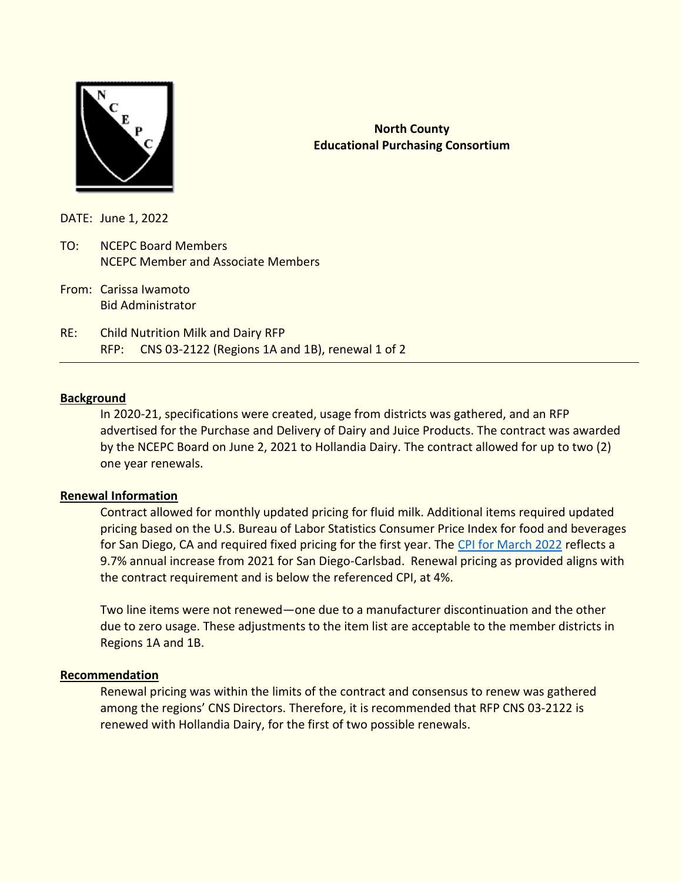

# **North County Educational Purchasing Consortium**

DATE: June 1, 2022

- TO: NCEPC Board Members NCEPC Member and Associate Members
- From: Carissa Iwamoto Bid Administrator
- RE: Child Nutrition Milk and Dairy RFP RFP: CNS 03-2122 (Regions 1A and 1B), renewal 1 of 2

## **Background**

In 2020-21, specifications were created, usage from districts was gathered, and an RFP advertised for the Purchase and Delivery of Dairy and Juice Products. The contract was awarded by the NCEPC Board on June 2, 2021 to Hollandia Dairy. The contract allowed for up to two (2) one year renewals.

#### **Renewal Information**

Contract allowed for monthly updated pricing for fluid milk. Additional items required updated pricing based on the U.S. Bureau of Labor Statistics Consumer Price Index for food and beverages for San Diego, CA and required fixed pricing for the first year. The [CPI for March 2022](https://www.bls.gov/regions/west/news-release/consumerpriceindex_sandiego.htm) reflects a 9.7% annual increase from 2021 for San Diego-Carlsbad. Renewal pricing as provided aligns with the contract requirement and is below the referenced CPI, at 4%.

Two line items were not renewed—one due to a manufacturer discontinuation and the other due to zero usage. These adjustments to the item list are acceptable to the member districts in Regions 1A and 1B.

#### **Recommendation**

Renewal pricing was within the limits of the contract and consensus to renew was gathered among the regions' CNS Directors. Therefore, it is recommended that RFP CNS 03-2122 is renewed with Hollandia Dairy, for the first of two possible renewals.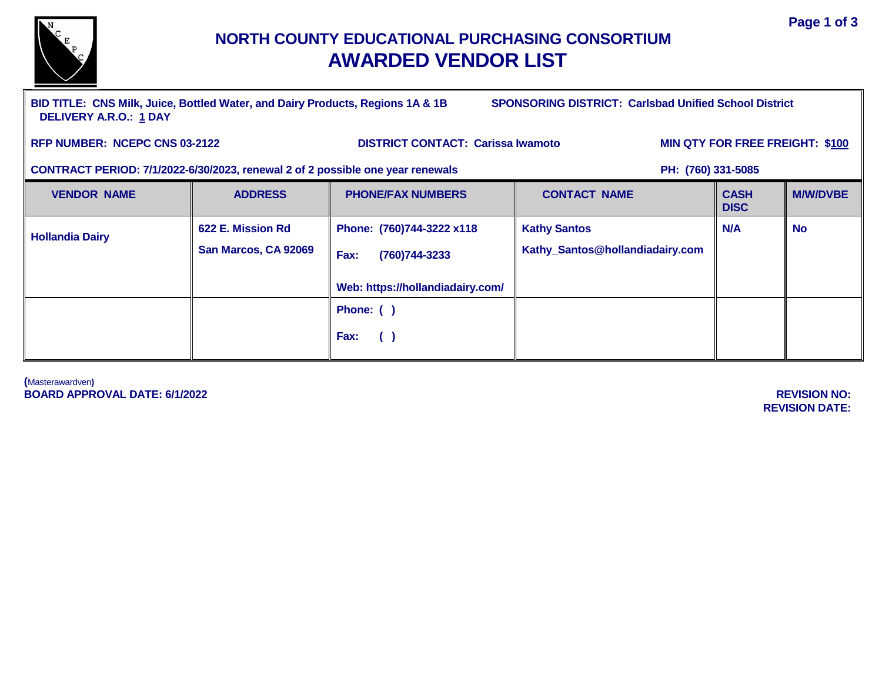

# **NORTH COUNTY EDUCATIONAL PURCHASING CONSORTIUM AWARDED VENDOR LIST**

**BID TITLE: CNS Milk, Juice, Bottled Water, and Dairy Products, Regions 1A & 1B SPONSORING DISTRICT: Carlsbad Unified School District DELIVERY A.R.O.: 1 DAY**

RFP NUMBER: NCEPC CNS 03-2122 DISTRICT CONTACT: Carissa Iwamoto MIN QTY FOR FREE FREIGHT: \$100

## **CONTRACT PERIOD: 7/1/2022-6/30/2023, renewal 2 of 2 possible one year renewals PH: (760) 331-5085**

| <b>VENDOR NAME</b>     | <b>ADDRESS</b>       | <b>PHONE/FAX NUMBERS</b>         | <b>CONTACT NAME</b>             | <b>CASH</b><br><b>DISC</b> | <b>M/W/DVBE</b> |
|------------------------|----------------------|----------------------------------|---------------------------------|----------------------------|-----------------|
| <b>Hollandia Dairy</b> | 622 E. Mission Rd    | Phone: (760)744-3222 x118        | <b>Kathy Santos</b>             | N/A                        | <b>No</b>       |
|                        | San Marcos, CA 92069 | Fax:<br>(760) 744-3233           | Kathy_Santos@hollandiadairy.com |                            |                 |
|                        |                      | Web: https://hollandiadairy.com/ |                                 |                            |                 |
|                        |                      | Phone: ()                        |                                 |                            |                 |
|                        |                      | Fax:<br>$\left( \quad \right)$   |                                 |                            |                 |

**(**Masterawardven**) BOARD APPROVAL DATE: 6/1/2022 REVISION NO:** 

**REVISION DATE:**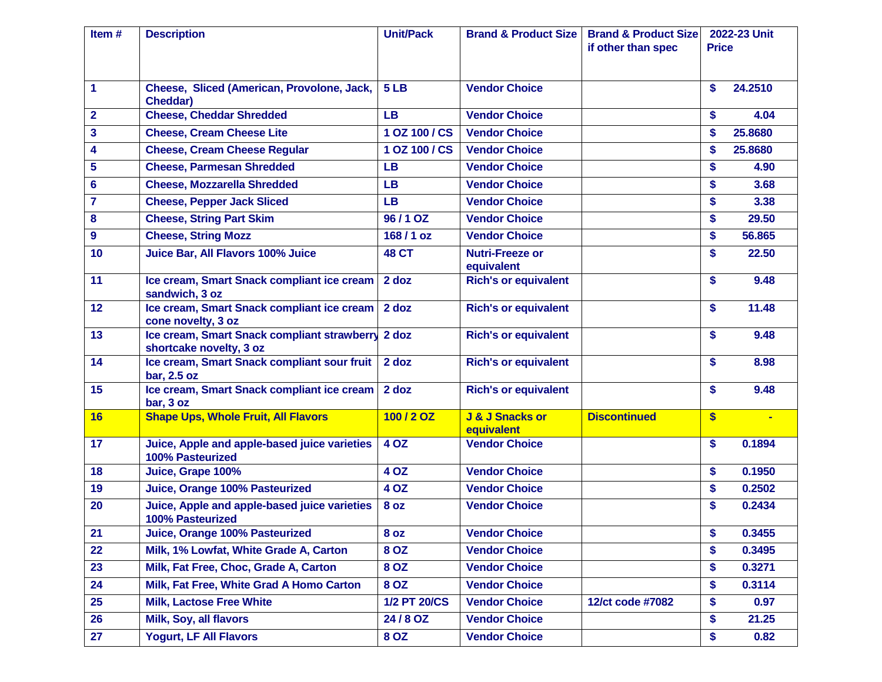| if other than spec<br><b>Price</b><br>5 <sub>LB</sub><br>24.2510<br>1<br>Cheese, Sliced (American, Provolone, Jack,<br><b>Vendor Choice</b><br>\$<br><b>Cheddar)</b><br><b>Cheese, Cheddar Shredded</b><br>$\overline{\mathbf{2}}$<br><b>Vendor Choice</b><br><b>LB</b><br>4.04<br>\$<br>3<br>1 OZ 100 / CS<br>\$<br>25.8680<br><b>Cheese, Cream Cheese Lite</b><br><b>Vendor Choice</b><br>4<br><b>Cheese, Cream Cheese Regular</b><br>1 OZ 100 / CS<br><b>Vendor Choice</b><br>\$<br>25.8680<br>5<br><b>Cheese, Parmesan Shredded</b><br>LВ<br><b>Vendor Choice</b><br>\$<br>4.90<br>6<br><b>Cheese, Mozzarella Shredded</b><br>\$<br><b>LB</b><br><b>Vendor Choice</b><br>3.68<br>$\overline{7}$<br><b>Cheese, Pepper Jack Sliced</b><br><b>Vendor Choice</b><br>\$<br>3.38<br>LВ<br><b>Cheese, String Part Skim</b><br>96/1 OZ<br>\$<br>29.50<br>8<br><b>Vendor Choice</b><br>9<br><b>Cheese, String Mozz</b><br>168/1 oz<br><b>Vendor Choice</b><br>56.865<br>\$<br>10<br>Juice Bar, All Flavors 100% Juice<br><b>48 CT</b><br>\$<br>22.50<br><b>Nutri-Freeze or</b><br>equivalent<br>11<br>Ice cream, Smart Snack compliant ice cream<br>2 doz<br><b>Rich's or equivalent</b><br>\$<br>9.48<br>sandwich, 3 oz<br>12<br>Ice cream, Smart Snack compliant ice cream<br>2 doz<br>\$<br>11.48<br><b>Rich's or equivalent</b><br>cone novelty, 3 oz<br>13<br>Ice cream, Smart Snack compliant strawberry<br>2 doz<br>\$<br>9.48<br><b>Rich's or equivalent</b><br>shortcake novelty, 3 oz<br>Ice cream, Smart Snack compliant sour fruit<br>14<br>2 doz<br><b>Rich's or equivalent</b><br>\$<br>8.98<br>bar, 2.5 oz<br>15<br>Ice cream, Smart Snack compliant ice cream<br>\$<br>2 doz<br><b>Rich's or equivalent</b><br>9.48<br>bar, 3 oz<br>J & J Snacks or<br><b>Discontinued</b><br><b>Shape Ups, Whole Fruit, All Flavors</b><br>100/2 OZ<br>$\boldsymbol{s}$<br>16<br>$\blacksquare$<br>equivalent<br>17<br>4 OZ<br>Juice, Apple and apple-based juice varieties<br><b>Vendor Choice</b><br>\$<br>0.1894 | Item# | <b>Description</b> | <b>Unit/Pack</b><br><b>Brand &amp; Product Size</b> |  | <b>Brand &amp; Product Size</b> | 2022-23 Unit |  |
|-----------------------------------------------------------------------------------------------------------------------------------------------------------------------------------------------------------------------------------------------------------------------------------------------------------------------------------------------------------------------------------------------------------------------------------------------------------------------------------------------------------------------------------------------------------------------------------------------------------------------------------------------------------------------------------------------------------------------------------------------------------------------------------------------------------------------------------------------------------------------------------------------------------------------------------------------------------------------------------------------------------------------------------------------------------------------------------------------------------------------------------------------------------------------------------------------------------------------------------------------------------------------------------------------------------------------------------------------------------------------------------------------------------------------------------------------------------------------------------------------------------------------------------------------------------------------------------------------------------------------------------------------------------------------------------------------------------------------------------------------------------------------------------------------------------------------------------------------------------------------------------------------------------------------------------------------------------------------------------------------------------------|-------|--------------------|-----------------------------------------------------|--|---------------------------------|--------------|--|
|                                                                                                                                                                                                                                                                                                                                                                                                                                                                                                                                                                                                                                                                                                                                                                                                                                                                                                                                                                                                                                                                                                                                                                                                                                                                                                                                                                                                                                                                                                                                                                                                                                                                                                                                                                                                                                                                                                                                                                                                                 |       |                    |                                                     |  |                                 |              |  |
|                                                                                                                                                                                                                                                                                                                                                                                                                                                                                                                                                                                                                                                                                                                                                                                                                                                                                                                                                                                                                                                                                                                                                                                                                                                                                                                                                                                                                                                                                                                                                                                                                                                                                                                                                                                                                                                                                                                                                                                                                 |       |                    |                                                     |  |                                 |              |  |
|                                                                                                                                                                                                                                                                                                                                                                                                                                                                                                                                                                                                                                                                                                                                                                                                                                                                                                                                                                                                                                                                                                                                                                                                                                                                                                                                                                                                                                                                                                                                                                                                                                                                                                                                                                                                                                                                                                                                                                                                                 |       |                    |                                                     |  |                                 |              |  |
|                                                                                                                                                                                                                                                                                                                                                                                                                                                                                                                                                                                                                                                                                                                                                                                                                                                                                                                                                                                                                                                                                                                                                                                                                                                                                                                                                                                                                                                                                                                                                                                                                                                                                                                                                                                                                                                                                                                                                                                                                 |       |                    |                                                     |  |                                 |              |  |
|                                                                                                                                                                                                                                                                                                                                                                                                                                                                                                                                                                                                                                                                                                                                                                                                                                                                                                                                                                                                                                                                                                                                                                                                                                                                                                                                                                                                                                                                                                                                                                                                                                                                                                                                                                                                                                                                                                                                                                                                                 |       |                    |                                                     |  |                                 |              |  |
|                                                                                                                                                                                                                                                                                                                                                                                                                                                                                                                                                                                                                                                                                                                                                                                                                                                                                                                                                                                                                                                                                                                                                                                                                                                                                                                                                                                                                                                                                                                                                                                                                                                                                                                                                                                                                                                                                                                                                                                                                 |       |                    |                                                     |  |                                 |              |  |
|                                                                                                                                                                                                                                                                                                                                                                                                                                                                                                                                                                                                                                                                                                                                                                                                                                                                                                                                                                                                                                                                                                                                                                                                                                                                                                                                                                                                                                                                                                                                                                                                                                                                                                                                                                                                                                                                                                                                                                                                                 |       |                    |                                                     |  |                                 |              |  |
|                                                                                                                                                                                                                                                                                                                                                                                                                                                                                                                                                                                                                                                                                                                                                                                                                                                                                                                                                                                                                                                                                                                                                                                                                                                                                                                                                                                                                                                                                                                                                                                                                                                                                                                                                                                                                                                                                                                                                                                                                 |       |                    |                                                     |  |                                 |              |  |
|                                                                                                                                                                                                                                                                                                                                                                                                                                                                                                                                                                                                                                                                                                                                                                                                                                                                                                                                                                                                                                                                                                                                                                                                                                                                                                                                                                                                                                                                                                                                                                                                                                                                                                                                                                                                                                                                                                                                                                                                                 |       |                    |                                                     |  |                                 |              |  |
|                                                                                                                                                                                                                                                                                                                                                                                                                                                                                                                                                                                                                                                                                                                                                                                                                                                                                                                                                                                                                                                                                                                                                                                                                                                                                                                                                                                                                                                                                                                                                                                                                                                                                                                                                                                                                                                                                                                                                                                                                 |       |                    |                                                     |  |                                 |              |  |
|                                                                                                                                                                                                                                                                                                                                                                                                                                                                                                                                                                                                                                                                                                                                                                                                                                                                                                                                                                                                                                                                                                                                                                                                                                                                                                                                                                                                                                                                                                                                                                                                                                                                                                                                                                                                                                                                                                                                                                                                                 |       |                    |                                                     |  |                                 |              |  |
|                                                                                                                                                                                                                                                                                                                                                                                                                                                                                                                                                                                                                                                                                                                                                                                                                                                                                                                                                                                                                                                                                                                                                                                                                                                                                                                                                                                                                                                                                                                                                                                                                                                                                                                                                                                                                                                                                                                                                                                                                 |       |                    |                                                     |  |                                 |              |  |
|                                                                                                                                                                                                                                                                                                                                                                                                                                                                                                                                                                                                                                                                                                                                                                                                                                                                                                                                                                                                                                                                                                                                                                                                                                                                                                                                                                                                                                                                                                                                                                                                                                                                                                                                                                                                                                                                                                                                                                                                                 |       |                    |                                                     |  |                                 |              |  |
|                                                                                                                                                                                                                                                                                                                                                                                                                                                                                                                                                                                                                                                                                                                                                                                                                                                                                                                                                                                                                                                                                                                                                                                                                                                                                                                                                                                                                                                                                                                                                                                                                                                                                                                                                                                                                                                                                                                                                                                                                 |       |                    |                                                     |  |                                 |              |  |
|                                                                                                                                                                                                                                                                                                                                                                                                                                                                                                                                                                                                                                                                                                                                                                                                                                                                                                                                                                                                                                                                                                                                                                                                                                                                                                                                                                                                                                                                                                                                                                                                                                                                                                                                                                                                                                                                                                                                                                                                                 |       |                    |                                                     |  |                                 |              |  |
|                                                                                                                                                                                                                                                                                                                                                                                                                                                                                                                                                                                                                                                                                                                                                                                                                                                                                                                                                                                                                                                                                                                                                                                                                                                                                                                                                                                                                                                                                                                                                                                                                                                                                                                                                                                                                                                                                                                                                                                                                 |       |                    |                                                     |  |                                 |              |  |
|                                                                                                                                                                                                                                                                                                                                                                                                                                                                                                                                                                                                                                                                                                                                                                                                                                                                                                                                                                                                                                                                                                                                                                                                                                                                                                                                                                                                                                                                                                                                                                                                                                                                                                                                                                                                                                                                                                                                                                                                                 |       |                    |                                                     |  |                                 |              |  |
|                                                                                                                                                                                                                                                                                                                                                                                                                                                                                                                                                                                                                                                                                                                                                                                                                                                                                                                                                                                                                                                                                                                                                                                                                                                                                                                                                                                                                                                                                                                                                                                                                                                                                                                                                                                                                                                                                                                                                                                                                 |       |                    |                                                     |  |                                 |              |  |
|                                                                                                                                                                                                                                                                                                                                                                                                                                                                                                                                                                                                                                                                                                                                                                                                                                                                                                                                                                                                                                                                                                                                                                                                                                                                                                                                                                                                                                                                                                                                                                                                                                                                                                                                                                                                                                                                                                                                                                                                                 |       |                    |                                                     |  |                                 |              |  |
|                                                                                                                                                                                                                                                                                                                                                                                                                                                                                                                                                                                                                                                                                                                                                                                                                                                                                                                                                                                                                                                                                                                                                                                                                                                                                                                                                                                                                                                                                                                                                                                                                                                                                                                                                                                                                                                                                                                                                                                                                 |       | 100% Pasteurized   |                                                     |  |                                 |              |  |
| <b>Vendor Choice</b><br>0.1950<br>18<br><b>4 OZ</b><br>\$<br>Juice, Grape 100%                                                                                                                                                                                                                                                                                                                                                                                                                                                                                                                                                                                                                                                                                                                                                                                                                                                                                                                                                                                                                                                                                                                                                                                                                                                                                                                                                                                                                                                                                                                                                                                                                                                                                                                                                                                                                                                                                                                                  |       |                    |                                                     |  |                                 |              |  |
| 19<br>Juice, Orange 100% Pasteurized<br>4 OZ<br><b>Vendor Choice</b><br>0.2502<br>\$                                                                                                                                                                                                                                                                                                                                                                                                                                                                                                                                                                                                                                                                                                                                                                                                                                                                                                                                                                                                                                                                                                                                                                                                                                                                                                                                                                                                                                                                                                                                                                                                                                                                                                                                                                                                                                                                                                                            |       |                    |                                                     |  |                                 |              |  |
| Juice, Apple and apple-based juice varieties<br>\$<br>0.2434<br>20<br><b>Vendor Choice</b><br><b>8 oz</b><br><b>100% Pasteurized</b>                                                                                                                                                                                                                                                                                                                                                                                                                                                                                                                                                                                                                                                                                                                                                                                                                                                                                                                                                                                                                                                                                                                                                                                                                                                                                                                                                                                                                                                                                                                                                                                                                                                                                                                                                                                                                                                                            |       |                    |                                                     |  |                                 |              |  |
| 21<br><b>Juice, Orange 100% Pasteurized</b><br><b>Vendor Choice</b><br>\$<br>0.3455<br><b>8 oz</b>                                                                                                                                                                                                                                                                                                                                                                                                                                                                                                                                                                                                                                                                                                                                                                                                                                                                                                                                                                                                                                                                                                                                                                                                                                                                                                                                                                                                                                                                                                                                                                                                                                                                                                                                                                                                                                                                                                              |       |                    |                                                     |  |                                 |              |  |
| 22<br>Milk, 1% Lowfat, White Grade A, Carton<br>8 OZ<br><b>Vendor Choice</b><br>0.3495<br>\$                                                                                                                                                                                                                                                                                                                                                                                                                                                                                                                                                                                                                                                                                                                                                                                                                                                                                                                                                                                                                                                                                                                                                                                                                                                                                                                                                                                                                                                                                                                                                                                                                                                                                                                                                                                                                                                                                                                    |       |                    |                                                     |  |                                 |              |  |
| 23<br>Milk, Fat Free, Choc, Grade A, Carton<br>8 OZ<br><b>Vendor Choice</b><br>\$<br>0.3271                                                                                                                                                                                                                                                                                                                                                                                                                                                                                                                                                                                                                                                                                                                                                                                                                                                                                                                                                                                                                                                                                                                                                                                                                                                                                                                                                                                                                                                                                                                                                                                                                                                                                                                                                                                                                                                                                                                     |       |                    |                                                     |  |                                 |              |  |
| Milk, Fat Free, White Grad A Homo Carton<br>\$<br>24<br>8 OZ<br><b>Vendor Choice</b><br>0.3114                                                                                                                                                                                                                                                                                                                                                                                                                                                                                                                                                                                                                                                                                                                                                                                                                                                                                                                                                                                                                                                                                                                                                                                                                                                                                                                                                                                                                                                                                                                                                                                                                                                                                                                                                                                                                                                                                                                  |       |                    |                                                     |  |                                 |              |  |
| 25<br><b>Milk, Lactose Free White</b><br><b>1/2 PT 20/CS</b><br><b>Vendor Choice</b><br>\$<br>12/ct code #7082<br>0.97                                                                                                                                                                                                                                                                                                                                                                                                                                                                                                                                                                                                                                                                                                                                                                                                                                                                                                                                                                                                                                                                                                                                                                                                                                                                                                                                                                                                                                                                                                                                                                                                                                                                                                                                                                                                                                                                                          |       |                    |                                                     |  |                                 |              |  |
| 26<br>Milk, Soy, all flavors<br>24/8 OZ<br>\$<br><b>Vendor Choice</b><br>21.25                                                                                                                                                                                                                                                                                                                                                                                                                                                                                                                                                                                                                                                                                                                                                                                                                                                                                                                                                                                                                                                                                                                                                                                                                                                                                                                                                                                                                                                                                                                                                                                                                                                                                                                                                                                                                                                                                                                                  |       |                    |                                                     |  |                                 |              |  |
| 27<br><b>Yogurt, LF All Flavors</b><br><b>Vendor Choice</b><br>8 OZ<br>\$<br>0.82                                                                                                                                                                                                                                                                                                                                                                                                                                                                                                                                                                                                                                                                                                                                                                                                                                                                                                                                                                                                                                                                                                                                                                                                                                                                                                                                                                                                                                                                                                                                                                                                                                                                                                                                                                                                                                                                                                                               |       |                    |                                                     |  |                                 |              |  |